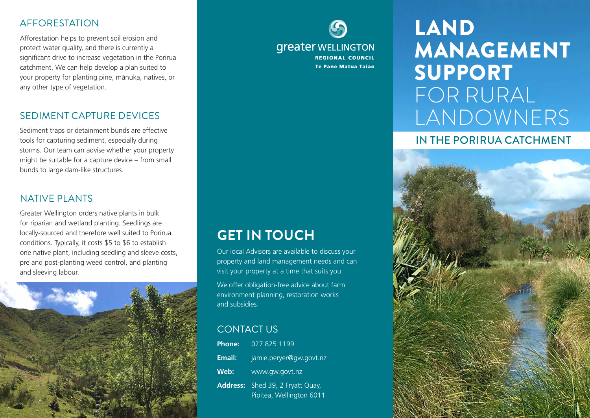### AFFORESTATION

Afforestation helps to prevent soil erosion and protect water quality, and there is currently a significant drive to increase vegetation in the Porirua catchment. We can help develop a plan suited to your property for planting pine, mänuka, natives, or any other type of vegetation.

#### SEDIMENT CAPTURE DEVICES

Sediment traps or detainment bunds are effective tools for capturing sediment, especially during storms. Our team can advise whether your property might be suitable for a capture device – from small bunds to large dam-like structures.

#### NATIVE PLANTS

Greater Wellington orders native plants in bulk for riparian and wetland planting. Seedlings are locally-sourced and therefore well suited to Porirua conditions. Typically, it costs \$5 to \$6 to establish one native plant, including seedling and sleeve costs, pre and post-planting weed control, and planting and sleeving labour.



**greater WELLINGTON REGIONAL COUNCIL Te Pane Matua Taiao** 

### **GET IN TOUCH**

Our local Advisors are available to discuss your property and land management needs and can visit your property at a time that suits you. We offer obligation-free advice about farm environment planning, restoration works and subsidies.

### CONTACT US

| <b>Phone:</b>   | 027 825 1199                                        |
|-----------------|-----------------------------------------------------|
| Email:          | jamie.peryer@gw.govt.nz                             |
| Web:            | www.gw.govt.nz                                      |
| <b>Address:</b> | Shed 39, 2 Fryatt Quay,<br>Pipitea, Wellington 6011 |

# LAND MANAGEMENT SUPPORT FOR RURAL LANDOWNERS

### IN THE PORIRUA CATCHMENT